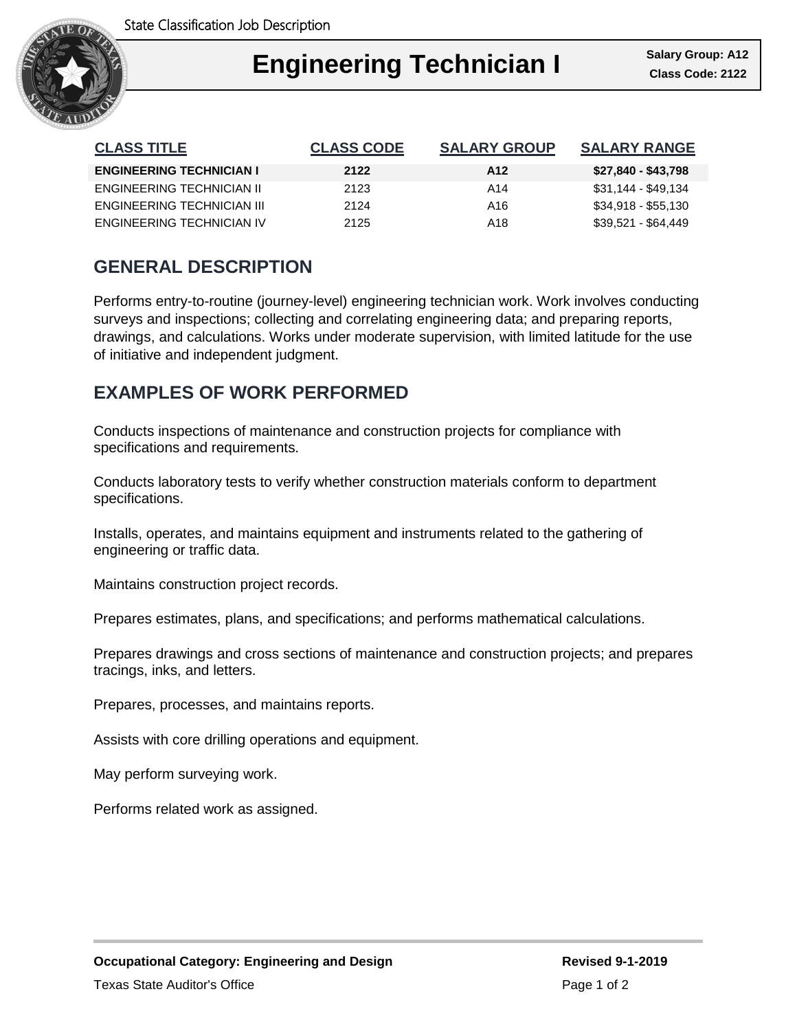

| <b>CLASS TITLE</b>              | <b>CLASS CODE</b> | <b>SALARY GROUP</b> | <b>SALARY RANGE</b> |
|---------------------------------|-------------------|---------------------|---------------------|
| <b>ENGINEERING TECHNICIAN I</b> | 2122              | A <sub>12</sub>     | \$27,840 - \$43,798 |
| ENGINEERING TECHNICIAN II       | 2123              | A14                 | \$31,144 - \$49,134 |
| ENGINEERING TECHNICIAN III      | 2124              | A16                 | \$34,918 - \$55,130 |
| ENGINEERING TECHNICIAN IV       | 2125              | A18                 | \$39.521 - \$64.449 |

## **GENERAL DESCRIPTION**

Performs entry-to-routine (journey-level) engineering technician work. Work involves conducting surveys and inspections; collecting and correlating engineering data; and preparing reports, drawings, and calculations. Works under moderate supervision, with limited latitude for the use of initiative and independent judgment.

## **EXAMPLES OF WORK PERFORMED**

Conducts inspections of maintenance and construction projects for compliance with specifications and requirements.

Conducts laboratory tests to verify whether construction materials conform to department specifications.

Installs, operates, and maintains equipment and instruments related to the gathering of engineering or traffic data.

Maintains construction project records.

Prepares estimates, plans, and specifications; and performs mathematical calculations.

Prepares drawings and cross sections of maintenance and construction projects; and prepares tracings, inks, and letters.

Prepares, processes, and maintains reports.

Assists with core drilling operations and equipment.

May perform surveying work.

Performs related work as assigned.